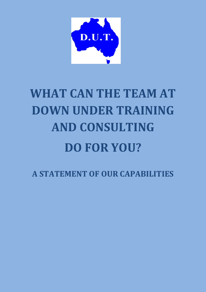

# **WHAT CAN THE TEAM AT DOWN UNDER TRAINING AND CONSULTING DO FOR YOU?**

**A STATEMENT OF OUR CAPABILITIES**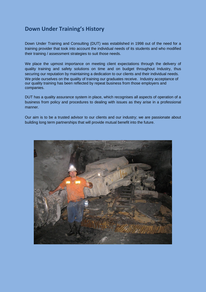### **Down Under Training's History**

Down Under Training and Consulting (DUT) was established in 1998 out of the need for a training provider that took into account the individual needs of its students and who modified their training / assessment strategies to suit those needs.

We place the upmost importance on meeting client expectations through the delivery of quality training and safety solutions on time and on budget throughout Industry, thus securing our reputation by maintaining a dedication to our clients and their individual needs. We pride ourselves on the quality of training our graduates receive. Industry acceptance of our quality training has been reflected by repeat business from those employers and companies.

DUT has a quality assurance system in place, which recognises all aspects of operation of a business from policy and procedures to dealing with issues as they arise in a professional manner.

Our aim is to be a trusted advisor to our clients and our industry; we are passionate about building long term partnerships that will provide mutual benefit into the future.

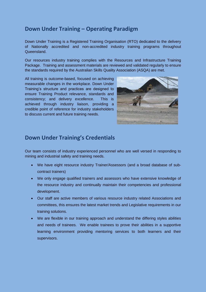## **Down Under Training – Operating Paradigm**

Down Under Training is a Registered Training Organisation (RTO) dedicated to the delivery of Nationally accredited and non-accredited industry training programs throughout Queensland.

Our resources industry training complies with the Resources and Infrastructure Training Package. Training and assessment materials are reviewed and validated regularly to ensure the standards required by the Australian Skills Quality Association (ASQA) are met.

All training is outcome-based, focused on achieving measurable changes in the workplace. Down Under Training's structure and practices are designed to ensure Training Product relevance, standards and consistency; and delivery excellence. This is achieved through industry liaison, providing a credible point of reference for industry stakeholders to discuss current and future training needs.



#### **Down Under Training's Credentials**

Our team consists of industry experienced personnel who are well versed in responding to mining and industrial safety and training needs.

- We have eight resource industry Trainer/Assessors (and a broad database of subcontract trainers)
- We only engage qualified trainers and assessors who have extensive knowledge of the resource industry and continually maintain their competencies and professional development.
- Our staff are active members of various resource industry related Associations and committees, this ensures the latest market trends and Legislative requirements in our training solutions.
- We are flexible in our training approach and understand the differing styles abilities and needs of trainees. We enable trainees to prove their abilities in a supportive learning environment providing mentoring services to both learners and their supervisors.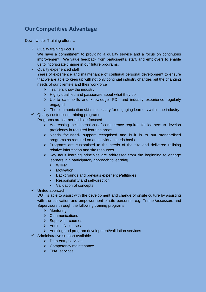# **Our Competitive Advantage**

Down Under Training offers…

 $\checkmark$  Quality training Focus

We have a commitment to providing a quality service and a focus on continuous improvement. We value feedback from participants, staff, and employers to enable us to incorporate change in our future programs.

 $\checkmark$  Quality experienced staff

Years of experience and maintenance of continual personal development to ensure that we are able to keep up with not only continual industry changes but the changing needs of our clientele and their workforce

- $\triangleright$  Trainers know the industry
- $\triangleright$  Highly qualified and passionate about what they do
- $\triangleright$  Up to date skills and knowledge- PD and industry experience regularly engaged
- $\triangleright$  The communication skills necessary for engaging learners within the industry
- $\checkmark$  Quality customised training programs

Programs are learner and site focused

- $\triangleright$  Addressing the dimensions of competence required for learners to develop proficiency in required learning areas
- $\triangleright$  Needs focussed- support recognised and built in to our standardised programs as required on an individual needs basis
- $\triangleright$  Programs are customised to the needs of the site and delivered utilising relative information and site resources
- $\triangleright$  Key adult learning principles are addressed from the beginning to engage learners in a participatory approach to learning
	- WIIFM
	- **Motivation**
	- **Backgrounds and previous experience/attitudes**
	- **Responsibility and self-direction**
	- **validation of concepts**
- $\checkmark$  United approach

DUT is able to assist with the development and change of onsite culture by assisting with the cultivation and empowerment of site personnel e.g. Trainer/assessors and Supervisors through the following training programs

- $\triangleright$  Mentoring
- $\triangleright$  Communications
- $\triangleright$  Supervisor courses
- $\triangleright$  Adult LLN courses
- $\triangleright$  Auditing and program development/validation services
- $\checkmark$  Administrative support available
	- $\triangleright$  Data entry services
	- $\triangleright$  Competency maintenance
	- $\triangleright$  TNA services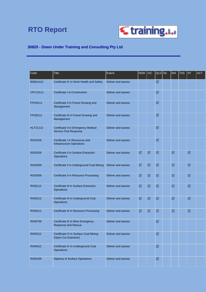# **RTO Report**



#### **30820 - Down Under Training and Consulting Pty Ltd**

| Code            | <b>Title</b>                                                         | <b>Extent</b>      | <b>NSW</b> | <b>VIC</b> | QLD SA               | <b>WA</b> | <b>TAS</b> | <b>NT</b> | <b>ACT</b> |
|-----------------|----------------------------------------------------------------------|--------------------|------------|------------|----------------------|-----------|------------|-----------|------------|
| <b>BSB41412</b> | Certificate IV in Work Health and Safety                             | Deliver and assess |            |            | ☑                    |           |            |           |            |
| CPC10111        | Certificate I in Construction                                        | Deliver and assess |            |            | ☑                    |           |            |           |            |
| FPI20111        | Certificate II in Forest Growing and<br>Management                   | Deliver and assess |            |            | ☑                    |           |            |           |            |
| FPI30111        | Certificate III in Forest Growing and<br>Management                  | Deliver and assess |            |            | ☑                    |           |            |           |            |
| <b>HLT21112</b> | Certificate II in Emergency Medical<br><b>Service First Response</b> | Deliver and assess |            |            | ☑                    |           |            |           |            |
| RII10109        | Certificate I in Resources and<br><b>Infrastructure Operations</b>   | Deliver and assess |            |            | ☑                    |           |            |           |            |
| RII20209        | <b>Certificate II in Surface Extraction</b><br>Operations            | Deliver and assess | ☑          | ☑          | $\boxed{\text{V}}$   | ☑         |            | ☑         |            |
| RII20309        | Certificate II in Underground Coal Mining                            | Deliver and assess | ☑          | ☑          | $\boxed{\text{V}}$   | ☑         |            | ☑         |            |
| <b>RII20509</b> | Certificate II in Resource Processing                                | Deliver and assess | ☑          | ☑          | $\boxed{\text{V}}$   | ☑         |            | ☑         |            |
| RII30112        | <b>Certificate III in Surface Extraction</b><br>Operations           | Deliver and assess | ☑          | ☑          | ☑                    | ☑         |            | ☑         |            |
| RII30212        | Certificate III in Underground Coal<br>Operations                    | Deliver and assess | ☑          | ☑          | ☑                    | ☑         |            | ☑         |            |
| RII30411        | <b>Certificate III in Resource Processing</b>                        | Deliver and assess | ☑          | ☑          | $\boxed{\text{V}}$   | ☑         |            | ☑         |            |
| RII30709        | Certificate III in Mine Emergency<br>Response and Rescue             | Deliver and assess |            |            | ☑                    |           |            |           |            |
| RII40212        | Certificate IV in Surface Coal Mining<br>(Open Cut Examiner)         | Deliver and assess |            |            | $\boxed{\mathbf{N}}$ |           |            |           |            |
| RII40412        | Certificate IV in Underground Coal<br>Operations                     | Deliver and assess |            |            | $\boxed{\mathbf{N}}$ |           |            |           |            |
| RII50109        | Diploma of Surface Operations                                        | Deliver and assess |            |            | $\boxed{\mathbf{N}}$ |           |            |           |            |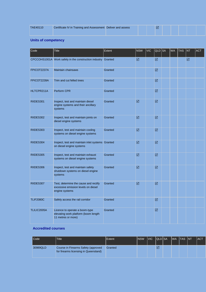| <b>TAE40110</b> | Certificate IV in Training and Assessment Deliver and assess |  | ١V |  |  |  |
|-----------------|--------------------------------------------------------------|--|----|--|--|--|
|                 |                                                              |  |    |  |  |  |

#### **Units of competency**

| Code             | <b>Title</b>                                                                                   | <b>Extent</b> | <b>NSW</b>                  | <b>VIC</b> | QLD SA             | <b>WA</b> | <b>TAS</b> | <b>NT</b> | <b>ACT</b> |
|------------------|------------------------------------------------------------------------------------------------|---------------|-----------------------------|------------|--------------------|-----------|------------|-----------|------------|
|                  | CPCCOHS1001A Work safely in the construction industry Granted                                  |               | ☑                           |            | ☑                  |           |            | ☑         |            |
| FPICOT2237A      | <b>Maintain chainsaws</b>                                                                      | Granted       |                             |            | ☑                  |           |            |           |            |
| FPICOT2239A      | Trim and cut felled trees                                                                      | Granted       |                             |            | $\boxed{\text{M}}$ |           |            |           |            |
| HLTCPR211A       | <b>Perform CPR</b>                                                                             | Granted       |                             |            | ☑                  |           |            |           |            |
| RIIDES301        | Inspect, test and maintain diesel<br>engine systems and their ancillary<br>systems             | Granted       | ☑                           |            | ☑                  |           |            |           |            |
| RIIDES302        | Inspect, test and maintain joints on<br>diesel engine systems                                  | Granted       | $\boxed{\textstyle\diagup}$ |            | $\boxed{\text{M}}$ |           |            |           |            |
| RIIDES303        | Inspect, test and maintain cooling<br>systems on diesel engine systems                         | Granted       | ☑                           |            | ☑                  |           |            |           |            |
| RIIDES304        | Inspect, test and maintain inlet systems Granted<br>on diesel engine systems                   |               | ☑                           |            | ☑                  |           |            |           |            |
| RIIDES305        | Inspect, test and maintain exhaust<br>systems on diesel engine systems                         | Granted       | $\boxed{\textstyle\diagup}$ |            | ☑                  |           |            |           |            |
| RIIDES306        | Inspect, test and maintain safety<br>shutdown systems on diesel engine<br>systems              | Granted       | ☑                           |            | ☑                  |           |            |           |            |
| RIIDES307        | Test, determine the cause and rectify<br>excessive emission levels on diesel<br>engine systems | Granted       | $\boxed{\textstyle\diagup}$ |            | $\boxed{\text{V}}$ |           |            |           |            |
| <b>TLIF2080C</b> | Safely access the rail corridor                                                                | Granted       |                             |            | ☑                  |           |            |           |            |
| TLILIC2005A      | Licence to operate a boom-type<br>elevating work platform (boom length<br>11 metres or more)   | Granted       |                             |            | ☑                  |           |            |           |            |

#### **Accredited courses**

| <b>I</b> Code | <b>Title</b>                                                                 | <b>Extent</b> | INSW | <b>IVIC</b> | <b>IQLDISA</b>  |  | IWA ITAS INT' | <b>IACT</b> |
|---------------|------------------------------------------------------------------------------|---------------|------|-------------|-----------------|--|---------------|-------------|
| 30989QLD      | Course in Firearms Safety (approved<br>for firearms licensing in Queensland) | Granted       |      |             | $\triangledown$ |  |               |             |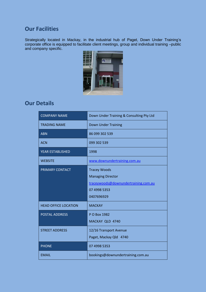#### **Our Facilities**

Strategically located in Mackay, in the industrial hub of Paget, Down Under Training's corporate office is equipped to facilitate client meetings, group and individual training –public and company specific.



#### **Our Details**

| <b>COMPANY NAME</b>         | Down Under Training & Consulting Pty Ltd                                                                              |
|-----------------------------|-----------------------------------------------------------------------------------------------------------------------|
| <b>TRADING NAME</b>         | <b>Down Under Training</b>                                                                                            |
| <b>ABN</b>                  | 86 099 302 539                                                                                                        |
| <b>ACN</b>                  | 099 302 539                                                                                                           |
| <b>YEAR ESTABLISHED</b>     | 1998                                                                                                                  |
| <b>WEBSITE</b>              | www.downundertraining.com.au                                                                                          |
| PRIMARY CONTACT             | <b>Tracey Woods</b><br><b>Managing Director</b><br>traceywoods@downundertraining.com.au<br>07 4998 5353<br>0407696929 |
| <b>HEAD OFFICE LOCATION</b> | <b>MACKAY</b>                                                                                                         |
| <b>POSTAL ADDRESS</b>       | P O Box 1982<br>MACKAY QLD 4740                                                                                       |
| <b>STREET ADDRESS</b>       | 12/16 Transport Avenue<br>Paget, Mackay Qld 4740                                                                      |
| <b>PHONE</b>                | 07 4998 5353                                                                                                          |
| <b>EMAIL</b>                | bookings@downundertraining.com.au                                                                                     |